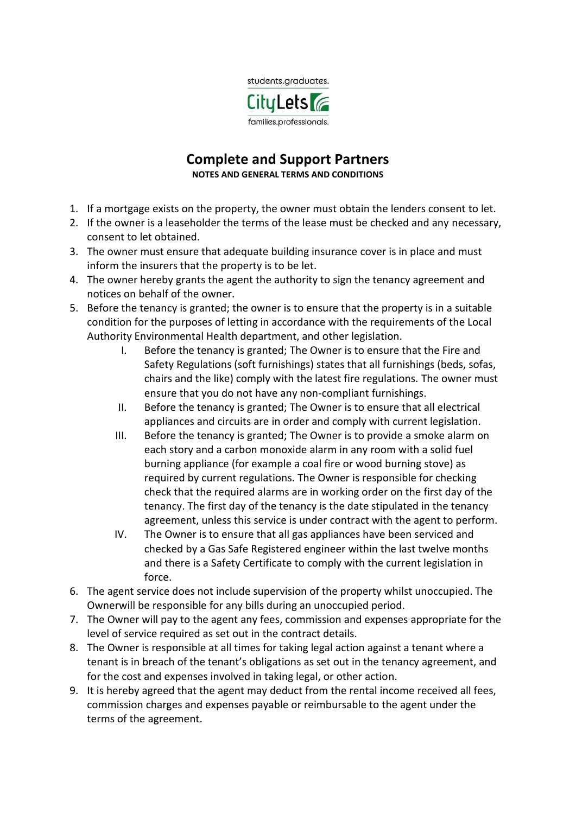

## **Complete and Support Partners NOTES AND GENERAL TERMS AND CONDITIONS**

- 1. If a mortgage exists on the property, the owner must obtain the lenders consent to let.
- 2. If the owner is a leaseholder the terms of the lease must be checked and any necessary, consent to let obtained.
- 3. The owner must ensure that adequate building insurance cover is in place and must inform the insurers that the property is to be let.
- 4. The owner hereby grants the agent the authority to sign the tenancy agreement and notices on behalf of the owner.
- 5. Before the tenancy is granted; the owner is to ensure that the property is in a suitable condition for the purposes of letting in accordance with the requirements of the Local Authority Environmental Health department, and other legislation.
	- I. Before the tenancy is granted; The Owner is to ensure that the Fire and Safety Regulations (soft furnishings) states that all furnishings (beds, sofas, chairs and the like) comply with the latest fire regulations. The owner must ensure that you do not have any non-compliant furnishings.
	- II. Before the tenancy is granted; The Owner is to ensure that all electrical appliances and circuits are in order and comply with current legislation.
	- III. Before the tenancy is granted; The Owner is to provide a smoke alarm on each story and a carbon monoxide alarm in any room with a solid fuel burning appliance (for example a coal fire or wood burning stove) as required by current regulations. The Owner is responsible for checking check that the required alarms are in working order on the first day of the tenancy. The first day of the tenancy is the date stipulated in the tenancy agreement, unless this service is under contract with the agent to perform.
	- IV. The Owner is to ensure that all gas appliances have been serviced and checked by a Gas Safe Registered engineer within the last twelve months and there is a Safety Certificate to comply with the current legislation in force.
- 6. The agent service does not include supervision of the property whilst unoccupied. The Ownerwill be responsible for any bills during an unoccupied period.
- 7. The Owner will pay to the agent any fees, commission and expenses appropriate for the level of service required as set out in the contract details.
- 8. The Owner is responsible at all times for taking legal action against a tenant where a tenant is in breach of the tenant's obligations as set out in the tenancy agreement, and for the cost and expenses involved in taking legal, or other action.
- 9. It is hereby agreed that the agent may deduct from the rental income received all fees, commission charges and expenses payable or reimbursable to the agent under the terms of the agreement.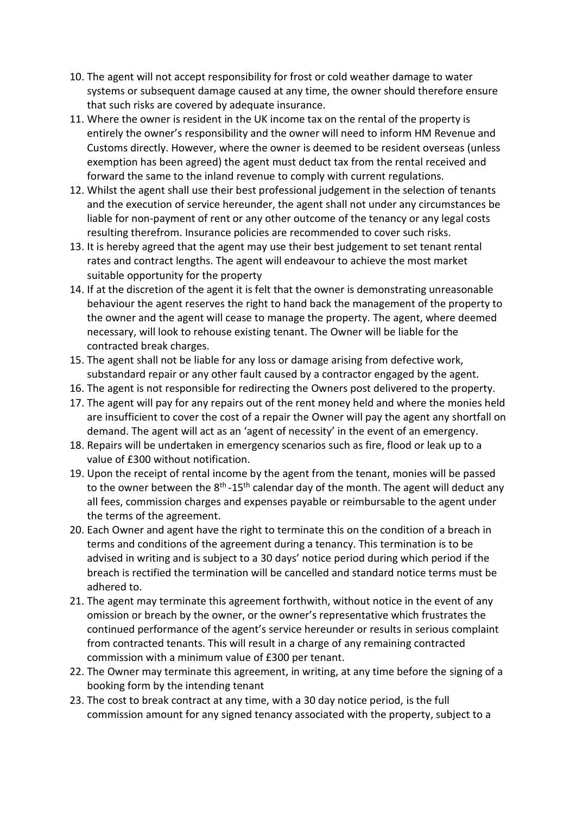- 10. The agent will not accept responsibility for frost or cold weather damage to water systems or subsequent damage caused at any time, the owner should therefore ensure that such risks are covered by adequate insurance.
- 11. Where the owner is resident in the UK income tax on the rental of the property is entirely the owner's responsibility and the owner will need to inform HM Revenue and Customs directly. However, where the owner is deemed to be resident overseas (unless exemption has been agreed) the agent must deduct tax from the rental received and forward the same to the inland revenue to comply with current regulations.
- 12. Whilst the agent shall use their best professional judgement in the selection of tenants and the execution of service hereunder, the agent shall not under any circumstances be liable for non-payment of rent or any other outcome of the tenancy or any legal costs resulting therefrom. Insurance policies are recommended to cover such risks.
- 13. It is hereby agreed that the agent may use their best judgement to set tenant rental rates and contract lengths. The agent will endeavour to achieve the most market suitable opportunity for the property
- 14. If at the discretion of the agent it is felt that the owner is demonstrating unreasonable behaviour the agent reserves the right to hand back the management of the property to the owner and the agent will cease to manage the property. The agent, where deemed necessary, will look to rehouse existing tenant. The Owner will be liable for the contracted break charges.
- 15. The agent shall not be liable for any loss or damage arising from defective work, substandard repair or any other fault caused by a contractor engaged by the agent.
- 16. The agent is not responsible for redirecting the Owners post delivered to the property.
- 17. The agent will pay for any repairs out of the rent money held and where the monies held are insufficient to cover the cost of a repair the Owner will pay the agent any shortfall on demand. The agent will act as an 'agent of necessity' in the event of an emergency.
- 18. Repairs will be undertaken in emergency scenarios such as fire, flood or leak up to a value of £300 without notification.
- 19. Upon the receipt of rental income by the agent from the tenant, monies will be passed to the owner between the 8<sup>th</sup>-15<sup>th</sup> calendar day of the month. The agent will deduct any all fees, commission charges and expenses payable or reimbursable to the agent under the terms of the agreement.
- 20. Each Owner and agent have the right to terminate this on the condition of a breach in terms and conditions of the agreement during a tenancy. This termination is to be advised in writing and is subject to a 30 days' notice period during which period if the breach is rectified the termination will be cancelled and standard notice terms must be adhered to.
- 21. The agent may terminate this agreement forthwith, without notice in the event of any omission or breach by the owner, or the owner's representative which frustrates the continued performance of the agent's service hereunder or results in serious complaint from contracted tenants. This will result in a charge of any remaining contracted commission with a minimum value of £300 per tenant.
- 22. The Owner may terminate this agreement, in writing, at any time before the signing of a booking form by the intending tenant
- 23. The cost to break contract at any time, with a 30 day notice period, is the full commission amount for any signed tenancy associated with the property, subject to a